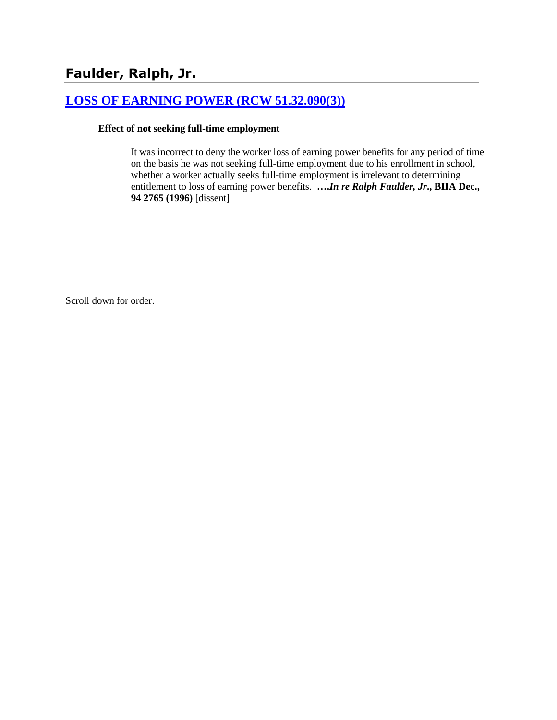# **[LOSS OF EARNING POWER \(RCW 51.32.090\(3\)\)](http://www.biia.wa.gov/SDSubjectIndex.html#LOSS_OF_EARNING_POWER)**

#### **Effect of not seeking full-time employment**

It was incorrect to deny the worker loss of earning power benefits for any period of time on the basis he was not seeking full-time employment due to his enrollment in school, whether a worker actually seeks full-time employment is irrelevant to determining entitlement to loss of earning power benefits. **….***In re Ralph Faulder, Jr***., BIIA Dec., 94 2765 (1996)** [dissent]

Scroll down for order.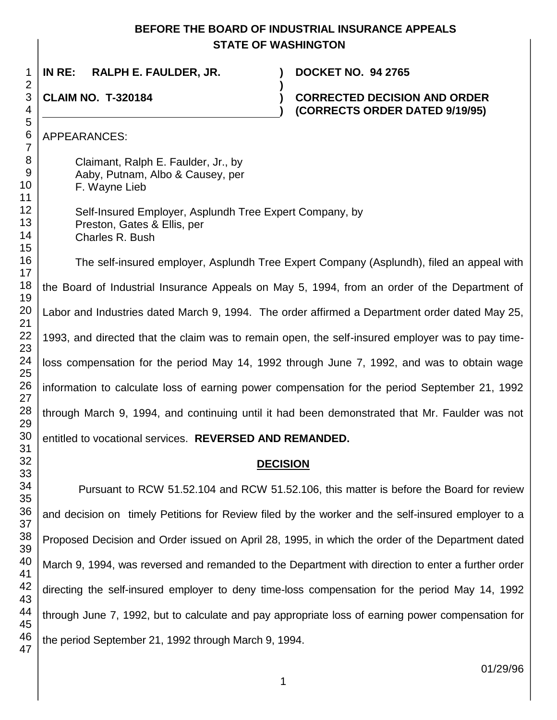### **BEFORE THE BOARD OF INDUSTRIAL INSURANCE APPEALS STATE OF WASHINGTON**

**)**

**)**

**IN RE: RALPH E. FAULDER, JR. ) DOCKET NO. 94 2765**

# **CLAIM NO. T-320184 )**

### **CORRECTED DECISION AND ORDER (CORRECTS ORDER DATED 9/19/95)**

APPEARANCES:

Claimant, Ralph E. Faulder, Jr., by Aaby, Putnam, Albo & Causey, per F. Wayne Lieb

Self-Insured Employer, Asplundh Tree Expert Company, by Preston, Gates & Ellis, per Charles R. Bush

The self-insured employer, Asplundh Tree Expert Company (Asplundh), filed an appeal with the Board of Industrial Insurance Appeals on May 5, 1994, from an order of the Department of Labor and Industries dated March 9, 1994. The order affirmed a Department order dated May 25, 1993, and directed that the claim was to remain open, the self-insured employer was to pay timeloss compensation for the period May 14, 1992 through June 7, 1992, and was to obtain wage information to calculate loss of earning power compensation for the period September 21, 1992 through March 9, 1994, and continuing until it had been demonstrated that Mr. Faulder was not entitled to vocational services. **REVERSED AND REMANDED.**

## **DECISION**

Pursuant to RCW 51.52.104 and RCW 51.52.106, this matter is before the Board for review and decision on timely Petitions for Review filed by the worker and the self-insured employer to a Proposed Decision and Order issued on April 28, 1995, in which the order of the Department dated March 9, 1994, was reversed and remanded to the Department with direction to enter a further order directing the self-insured employer to deny time-loss compensation for the period May 14, 1992 through June 7, 1992, but to calculate and pay appropriate loss of earning power compensation for the period September 21, 1992 through March 9, 1994.

01/29/96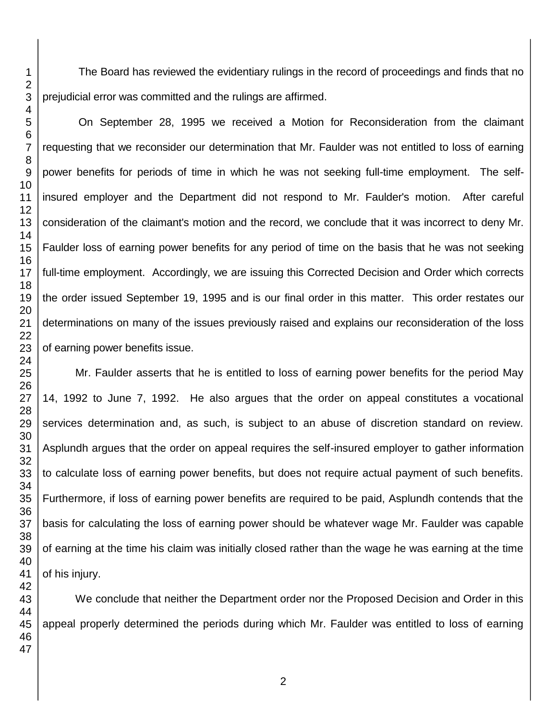The Board has reviewed the evidentiary rulings in the record of proceedings and finds that no prejudicial error was committed and the rulings are affirmed.

On September 28, 1995 we received a Motion for Reconsideration from the claimant requesting that we reconsider our determination that Mr. Faulder was not entitled to loss of earning power benefits for periods of time in which he was not seeking full-time employment. The selfinsured employer and the Department did not respond to Mr. Faulder's motion. After careful consideration of the claimant's motion and the record, we conclude that it was incorrect to deny Mr. Faulder loss of earning power benefits for any period of time on the basis that he was not seeking full-time employment. Accordingly, we are issuing this Corrected Decision and Order which corrects the order issued September 19, 1995 and is our final order in this matter. This order restates our determinations on many of the issues previously raised and explains our reconsideration of the loss of earning power benefits issue.

Mr. Faulder asserts that he is entitled to loss of earning power benefits for the period May 14, 1992 to June 7, 1992. He also argues that the order on appeal constitutes a vocational services determination and, as such, is subject to an abuse of discretion standard on review. Asplundh argues that the order on appeal requires the self-insured employer to gather information to calculate loss of earning power benefits, but does not require actual payment of such benefits. Furthermore, if loss of earning power benefits are required to be paid, Asplundh contends that the basis for calculating the loss of earning power should be whatever wage Mr. Faulder was capable of earning at the time his claim was initially closed rather than the wage he was earning at the time of his injury.

We conclude that neither the Department order nor the Proposed Decision and Order in this appeal properly determined the periods during which Mr. Faulder was entitled to loss of earning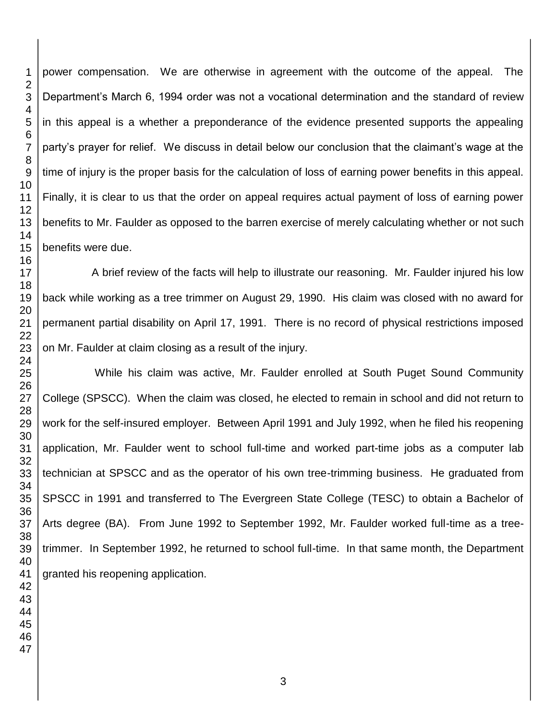power compensation. We are otherwise in agreement with the outcome of the appeal. The Department's March 6, 1994 order was not a vocational determination and the standard of review in this appeal is a whether a preponderance of the evidence presented supports the appealing party's prayer for relief. We discuss in detail below our conclusion that the claimant's wage at the time of injury is the proper basis for the calculation of loss of earning power benefits in this appeal. Finally, it is clear to us that the order on appeal requires actual payment of loss of earning power benefits to Mr. Faulder as opposed to the barren exercise of merely calculating whether or not such benefits were due.

A brief review of the facts will help to illustrate our reasoning. Mr. Faulder injured his low back while working as a tree trimmer on August 29, 1990. His claim was closed with no award for permanent partial disability on April 17, 1991. There is no record of physical restrictions imposed on Mr. Faulder at claim closing as a result of the injury.

While his claim was active, Mr. Faulder enrolled at South Puget Sound Community College (SPSCC). When the claim was closed, he elected to remain in school and did not return to work for the self-insured employer. Between April 1991 and July 1992, when he filed his reopening application, Mr. Faulder went to school full-time and worked part-time jobs as a computer lab technician at SPSCC and as the operator of his own tree-trimming business. He graduated from SPSCC in 1991 and transferred to The Evergreen State College (TESC) to obtain a Bachelor of Arts degree (BA). From June 1992 to September 1992, Mr. Faulder worked full-time as a treetrimmer. In September 1992, he returned to school full-time. In that same month, the Department granted his reopening application.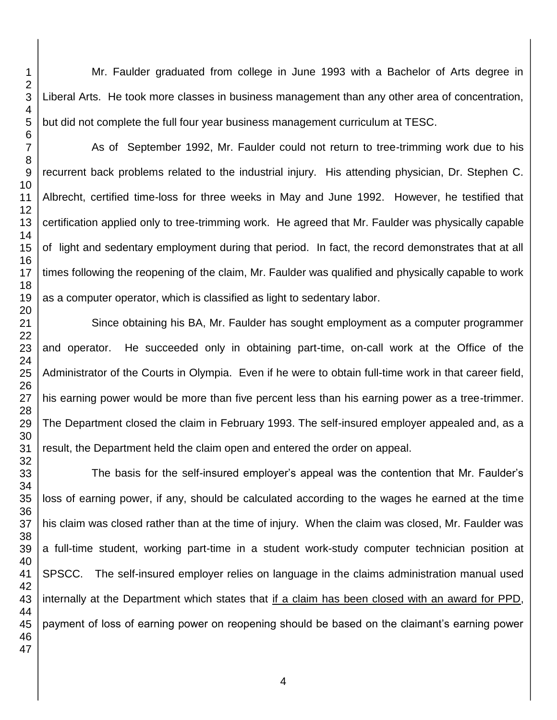Mr. Faulder graduated from college in June 1993 with a Bachelor of Arts degree in Liberal Arts. He took more classes in business management than any other area of concentration, but did not complete the full four year business management curriculum at TESC.

As of September 1992, Mr. Faulder could not return to tree-trimming work due to his recurrent back problems related to the industrial injury. His attending physician, Dr. Stephen C. Albrecht, certified time-loss for three weeks in May and June 1992. However, he testified that certification applied only to tree-trimming work. He agreed that Mr. Faulder was physically capable of light and sedentary employment during that period. In fact, the record demonstrates that at all times following the reopening of the claim, Mr. Faulder was qualified and physically capable to work as a computer operator, which is classified as light to sedentary labor.

Since obtaining his BA, Mr. Faulder has sought employment as a computer programmer and operator. He succeeded only in obtaining part-time, on-call work at the Office of the Administrator of the Courts in Olympia. Even if he were to obtain full-time work in that career field, his earning power would be more than five percent less than his earning power as a tree-trimmer. The Department closed the claim in February 1993. The self-insured employer appealed and, as a result, the Department held the claim open and entered the order on appeal.

The basis for the self-insured employer's appeal was the contention that Mr. Faulder's loss of earning power, if any, should be calculated according to the wages he earned at the time his claim was closed rather than at the time of injury. When the claim was closed, Mr. Faulder was a full-time student, working part-time in a student work-study computer technician position at SPSCC. The self-insured employer relies on language in the claims administration manual used internally at the Department which states that if a claim has been closed with an award for PPD, payment of loss of earning power on reopening should be based on the claimant's earning power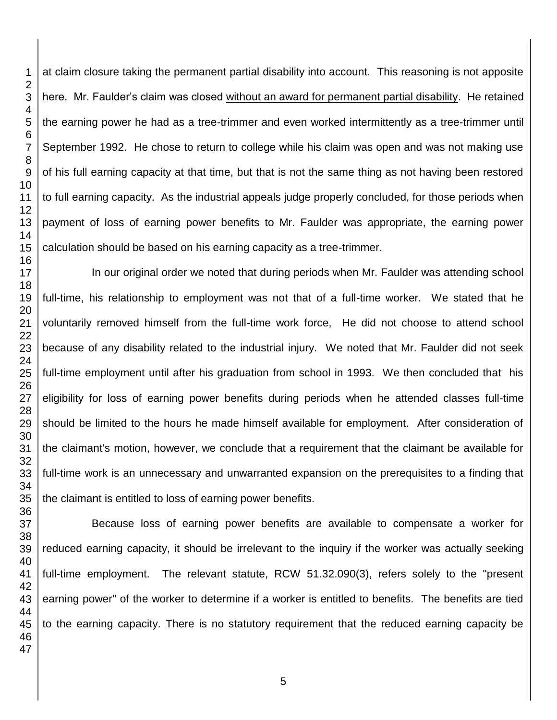at claim closure taking the permanent partial disability into account. This reasoning is not apposite here. Mr. Faulder's claim was closed without an award for permanent partial disability. He retained the earning power he had as a tree-trimmer and even worked intermittently as a tree-trimmer until September 1992. He chose to return to college while his claim was open and was not making use of his full earning capacity at that time, but that is not the same thing as not having been restored to full earning capacity. As the industrial appeals judge properly concluded, for those periods when payment of loss of earning power benefits to Mr. Faulder was appropriate, the earning power calculation should be based on his earning capacity as a tree-trimmer.

In our original order we noted that during periods when Mr. Faulder was attending school full-time, his relationship to employment was not that of a full-time worker. We stated that he voluntarily removed himself from the full-time work force, He did not choose to attend school because of any disability related to the industrial injury. We noted that Mr. Faulder did not seek full-time employment until after his graduation from school in 1993. We then concluded that his eligibility for loss of earning power benefits during periods when he attended classes full-time should be limited to the hours he made himself available for employment. After consideration of the claimant's motion, however, we conclude that a requirement that the claimant be available for full-time work is an unnecessary and unwarranted expansion on the prerequisites to a finding that the claimant is entitled to loss of earning power benefits.

Because loss of earning power benefits are available to compensate a worker for reduced earning capacity, it should be irrelevant to the inquiry if the worker was actually seeking full-time employment. The relevant statute, RCW 51.32.090(3), refers solely to the "present earning power" of the worker to determine if a worker is entitled to benefits. The benefits are tied to the earning capacity. There is no statutory requirement that the reduced earning capacity be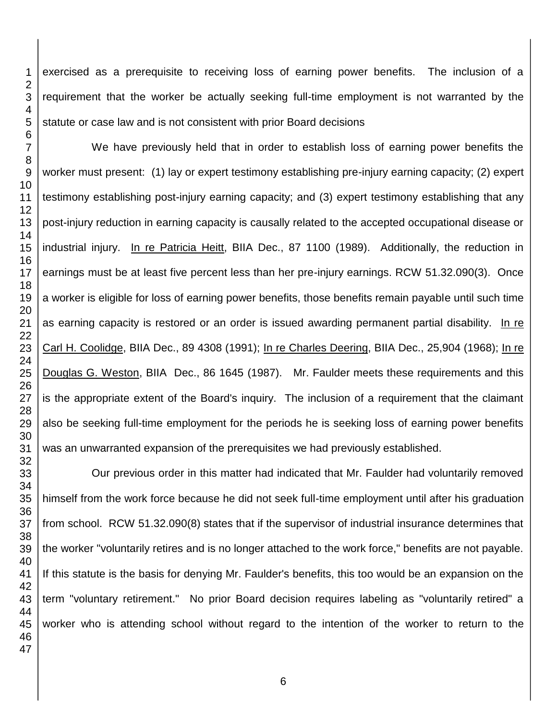exercised as a prerequisite to receiving loss of earning power benefits. The inclusion of a requirement that the worker be actually seeking full-time employment is not warranted by the statute or case law and is not consistent with prior Board decisions

We have previously held that in order to establish loss of earning power benefits the worker must present: (1) lay or expert testimony establishing pre-injury earning capacity; (2) expert testimony establishing post-injury earning capacity; and (3) expert testimony establishing that any post-injury reduction in earning capacity is causally related to the accepted occupational disease or industrial injury. In re Patricia Heitt, BIIA Dec., 87 1100 (1989). Additionally, the reduction in earnings must be at least five percent less than her pre-injury earnings. RCW 51.32.090(3). Once a worker is eligible for loss of earning power benefits, those benefits remain payable until such time as earning capacity is restored or an order is issued awarding permanent partial disability. In re Carl H. Coolidge, BIIA Dec., 89 4308 (1991); In re Charles Deering, BIIA Dec., 25,904 (1968); In re Douglas G. Weston, BIIA Dec., 86 1645 (1987). Mr. Faulder meets these requirements and this is the appropriate extent of the Board's inquiry. The inclusion of a requirement that the claimant also be seeking full-time employment for the periods he is seeking loss of earning power benefits was an unwarranted expansion of the prerequisites we had previously established.

Our previous order in this matter had indicated that Mr. Faulder had voluntarily removed himself from the work force because he did not seek full-time employment until after his graduation from school. RCW 51.32.090(8) states that if the supervisor of industrial insurance determines that the worker "voluntarily retires and is no longer attached to the work force," benefits are not payable. If this statute is the basis for denying Mr. Faulder's benefits, this too would be an expansion on the term "voluntary retirement." No prior Board decision requires labeling as "voluntarily retired" a worker who is attending school without regard to the intention of the worker to return to the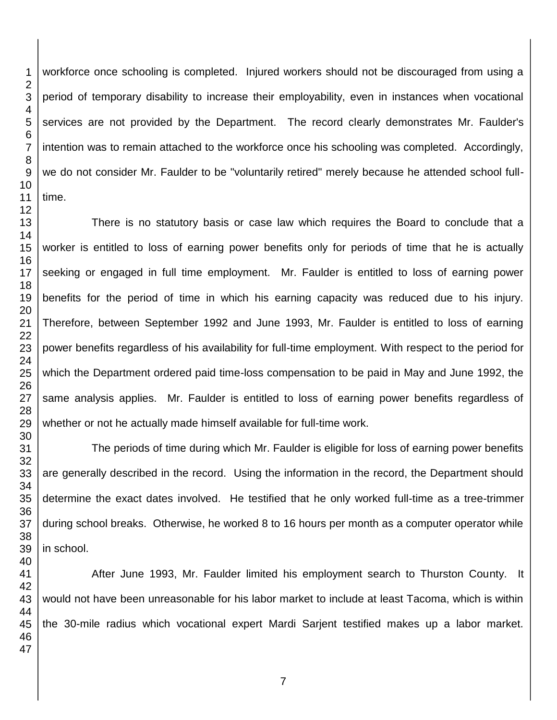workforce once schooling is completed. Injured workers should not be discouraged from using a period of temporary disability to increase their employability, even in instances when vocational services are not provided by the Department. The record clearly demonstrates Mr. Faulder's intention was to remain attached to the workforce once his schooling was completed. Accordingly, we do not consider Mr. Faulder to be "voluntarily retired" merely because he attended school fulltime.

There is no statutory basis or case law which requires the Board to conclude that a worker is entitled to loss of earning power benefits only for periods of time that he is actually seeking or engaged in full time employment. Mr. Faulder is entitled to loss of earning power benefits for the period of time in which his earning capacity was reduced due to his injury. Therefore, between September 1992 and June 1993, Mr. Faulder is entitled to loss of earning power benefits regardless of his availability for full-time employment. With respect to the period for which the Department ordered paid time-loss compensation to be paid in May and June 1992, the same analysis applies. Mr. Faulder is entitled to loss of earning power benefits regardless of whether or not he actually made himself available for full-time work.

The periods of time during which Mr. Faulder is eligible for loss of earning power benefits are generally described in the record. Using the information in the record, the Department should determine the exact dates involved. He testified that he only worked full-time as a tree-trimmer during school breaks. Otherwise, he worked 8 to 16 hours per month as a computer operator while in school.

After June 1993, Mr. Faulder limited his employment search to Thurston County. It would not have been unreasonable for his labor market to include at least Tacoma, which is within the 30-mile radius which vocational expert Mardi Sarjent testified makes up a labor market.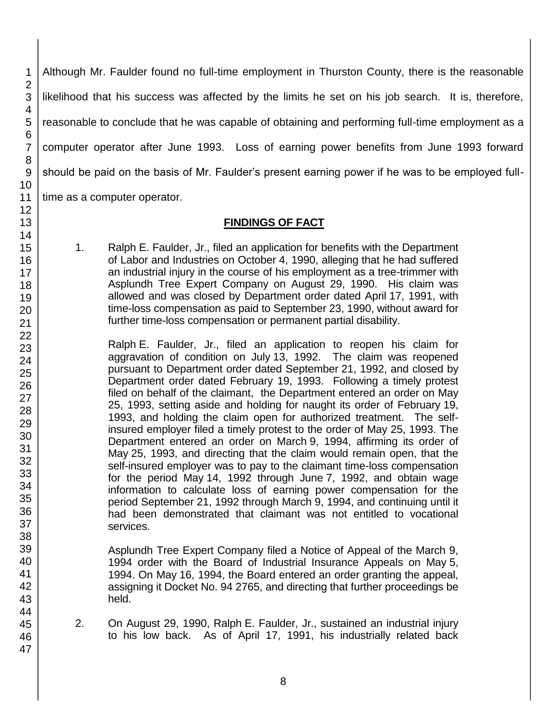Although Mr. Faulder found no full-time employment in Thurston County, there is the reasonable likelihood that his success was affected by the limits he set on his job search. It is, therefore, reasonable to conclude that he was capable of obtaining and performing full-time employment as a computer operator after June 1993. Loss of earning power benefits from June 1993 forward should be paid on the basis of Mr. Faulder's present earning power if he was to be employed fulltime as a computer operator.

**FINDINGS OF FACT**

1. Ralph E. Faulder, Jr., filed an application for benefits with the Department of Labor and Industries on October 4, 1990, alleging that he had suffered an industrial injury in the course of his employment as a tree-trimmer with Asplundh Tree Expert Company on August 29, 1990. His claim was allowed and was closed by Department order dated April 17, 1991, with time-loss compensation as paid to September 23, 1990, without award for further time-loss compensation or permanent partial disability.

Ralph E. Faulder, Jr., filed an application to reopen his claim for aggravation of condition on July 13, 1992. The claim was reopened pursuant to Department order dated September 21, 1992, and closed by Department order dated February 19, 1993. Following a timely protest filed on behalf of the claimant, the Department entered an order on May 25, 1993, setting aside and holding for naught its order of February 19, 1993, and holding the claim open for authorized treatment. The selfinsured employer filed a timely protest to the order of May 25, 1993. The Department entered an order on March 9, 1994, affirming its order of May 25, 1993, and directing that the claim would remain open, that the self-insured employer was to pay to the claimant time-loss compensation for the period May 14, 1992 through June 7, 1992, and obtain wage information to calculate loss of earning power compensation for the period September 21, 1992 through March 9, 1994, and continuing until it had been demonstrated that claimant was not entitled to vocational services.

Asplundh Tree Expert Company filed a Notice of Appeal of the March 9, 1994 order with the Board of Industrial Insurance Appeals on May 5, 1994. On May 16, 1994, the Board entered an order granting the appeal, assigning it Docket No. 94 2765, and directing that further proceedings be held.

2. On August 29, 1990, Ralph E. Faulder, Jr., sustained an industrial injury to his low back. As of April 17, 1991, his industrially related back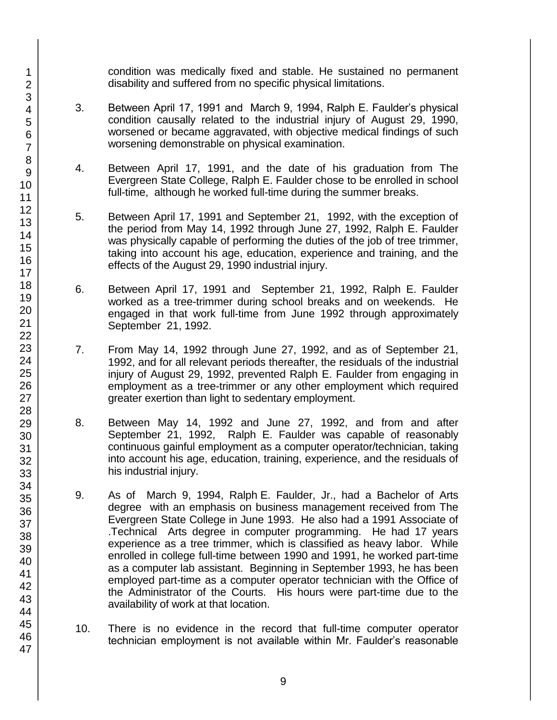condition was medically fixed and stable. He sustained no permanent disability and suffered from no specific physical limitations.

- 3. Between April 17, 1991 and March 9, 1994, Ralph E. Faulder's physical condition causally related to the industrial injury of August 29, 1990, worsened or became aggravated, with objective medical findings of such worsening demonstrable on physical examination.
- 4. Between April 17, 1991, and the date of his graduation from The Evergreen State College, Ralph E. Faulder chose to be enrolled in school full-time, although he worked full-time during the summer breaks.
- 5. Between April 17, 1991 and September 21, 1992, with the exception of the period from May 14, 1992 through June 27, 1992, Ralph E. Faulder was physically capable of performing the duties of the job of tree trimmer, taking into account his age, education, experience and training, and the effects of the August 29, 1990 industrial injury.
- 6. Between April 17, 1991 and September 21, 1992, Ralph E. Faulder worked as a tree-trimmer during school breaks and on weekends. He engaged in that work full-time from June 1992 through approximately September 21, 1992.
- 7. From May 14, 1992 through June 27, 1992, and as of September 21, 1992, and for all relevant periods thereafter, the residuals of the industrial injury of August 29, 1992, prevented Ralph E. Faulder from engaging in employment as a tree-trimmer or any other employment which required greater exertion than light to sedentary employment.
- 8. Between May 14, 1992 and June 27, 1992, and from and after September 21, 1992, Ralph E. Faulder was capable of reasonably continuous gainful employment as a computer operator/technician, taking into account his age, education, training, experience, and the residuals of his industrial injury.
- 9. As of March 9, 1994, Ralph E. Faulder, Jr., had a Bachelor of Arts degree with an emphasis on business management received from The Evergreen State College in June 1993. He also had a 1991 Associate of .Technical Arts degree in computer programming. He had 17 years experience as a tree trimmer, which is classified as heavy labor. While enrolled in college full-time between 1990 and 1991, he worked part-time as a computer lab assistant. Beginning in September 1993, he has been employed part-time as a computer operator technician with the Office of the Administrator of the Courts. His hours were part-time due to the availability of work at that location.
- 10. There is no evidence in the record that full-time computer operator technician employment is not available within Mr. Faulder's reasonable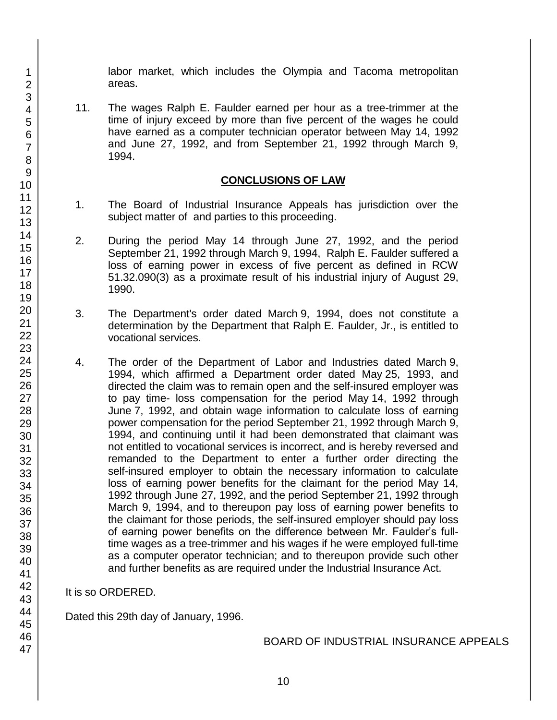labor market, which includes the Olympia and Tacoma metropolitan areas.

11. The wages Ralph E. Faulder earned per hour as a tree-trimmer at the time of injury exceed by more than five percent of the wages he could have earned as a computer technician operator between May 14, 1992 and June 27, 1992, and from September 21, 1992 through March 9, 1994.

#### **CONCLUSIONS OF LAW**

- 1. The Board of Industrial Insurance Appeals has jurisdiction over the subject matter of and parties to this proceeding.
- 2. During the period May 14 through June 27, 1992, and the period September 21, 1992 through March 9, 1994, Ralph E. Faulder suffered a loss of earning power in excess of five percent as defined in RCW 51.32.090(3) as a proximate result of his industrial injury of August 29, 1990.
- 3. The Department's order dated March 9, 1994, does not constitute a determination by the Department that Ralph E. Faulder, Jr., is entitled to vocational services.
- 4. The order of the Department of Labor and Industries dated March 9, 1994, which affirmed a Department order dated May 25, 1993, and directed the claim was to remain open and the self-insured employer was to pay time- loss compensation for the period May 14, 1992 through June 7, 1992, and obtain wage information to calculate loss of earning power compensation for the period September 21, 1992 through March 9, 1994, and continuing until it had been demonstrated that claimant was not entitled to vocational services is incorrect, and is hereby reversed and remanded to the Department to enter a further order directing the self-insured employer to obtain the necessary information to calculate loss of earning power benefits for the claimant for the period May 14, 1992 through June 27, 1992, and the period September 21, 1992 through March 9, 1994, and to thereupon pay loss of earning power benefits to the claimant for those periods, the self-insured employer should pay loss of earning power benefits on the difference between Mr. Faulder's fulltime wages as a tree-trimmer and his wages if he were employed full-time as a computer operator technician; and to thereupon provide such other and further benefits as are required under the Industrial Insurance Act.

#### It is so ORDERED.

Dated this 29th day of January, 1996.

BOARD OF INDUSTRIAL INSURANCE APPEALS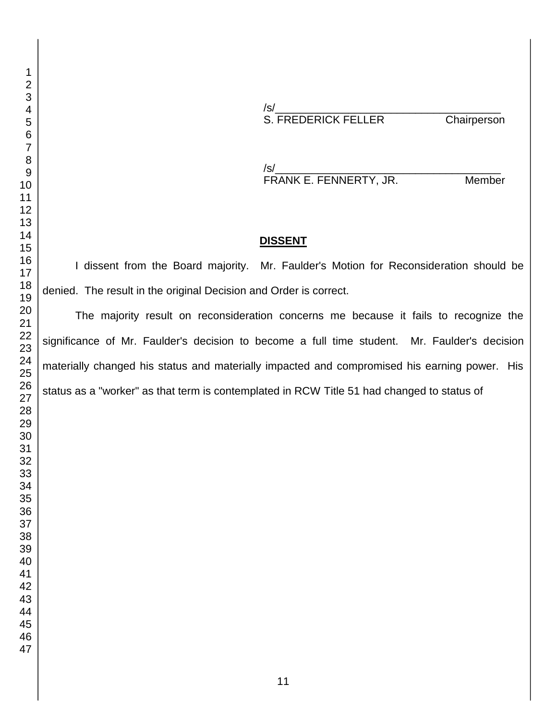/s/\_\_\_\_\_\_\_\_\_\_\_\_\_\_\_\_\_\_\_\_\_\_\_\_\_\_\_\_\_\_\_\_\_\_\_\_\_ S. FREDERICK FELLER Chairperson

/s/\_\_\_\_\_\_\_\_\_\_\_\_\_\_\_\_\_\_\_\_\_\_\_\_\_\_\_\_\_\_\_\_\_\_\_\_\_ FRANK E. FENNERTY, JR. Member

#### **DISSENT**

I dissent from the Board majority. Mr. Faulder's Motion for Reconsideration should be denied. The result in the original Decision and Order is correct.

The majority result on reconsideration concerns me because it fails to recognize the significance of Mr. Faulder's decision to become a full time student. Mr. Faulder's decision materially changed his status and materially impacted and compromised his earning power. His status as a "worker" as that term is contemplated in RCW Title 51 had changed to status of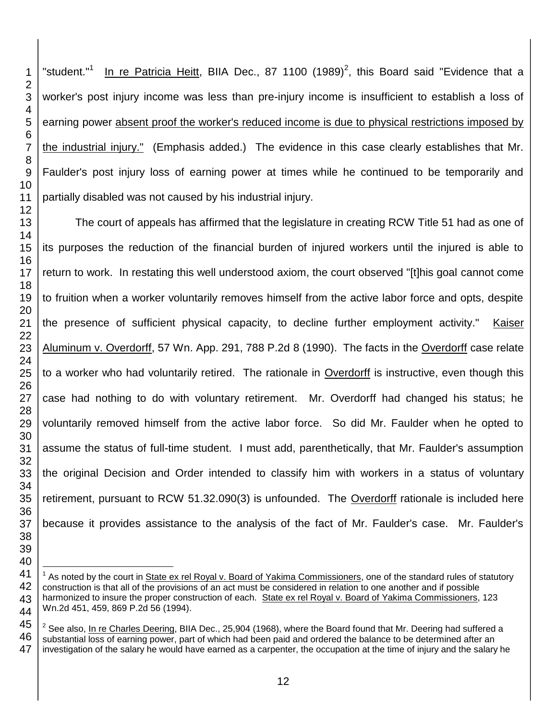"student."<sup>1</sup> In re Patricia Heitt, BIIA Dec., 87 1100  $(1989)^2$ , this Board said "Evidence that a worker's post injury income was less than pre-injury income is insufficient to establish a loss of earning power absent proof the worker's reduced income is due to physical restrictions imposed by the industrial injury." (Emphasis added.) The evidence in this case clearly establishes that Mr. Faulder's post injury loss of earning power at times while he continued to be temporarily and partially disabled was not caused by his industrial injury.

The court of appeals has affirmed that the legislature in creating RCW Title 51 had as one of its purposes the reduction of the financial burden of injured workers until the injured is able to return to work. In restating this well understood axiom, the court observed "[t]his goal cannot come to fruition when a worker voluntarily removes himself from the active labor force and opts, despite the presence of sufficient physical capacity, to decline further employment activity." Kaiser Aluminum v. Overdorff, 57 Wn. App. 291, 788 P.2d 8 (1990). The facts in the Overdorff case relate to a worker who had voluntarily retired. The rationale in Overdorff is instructive, even though this case had nothing to do with voluntary retirement. Mr. Overdorff had changed his status; he voluntarily removed himself from the active labor force. So did Mr. Faulder when he opted to assume the status of full-time student. I must add, parenthetically, that Mr. Faulder's assumption the original Decision and Order intended to classify him with workers in a status of voluntary retirement, pursuant to RCW 51.32.090(3) is unfounded. The Overdorff rationale is included here because it provides assistance to the analysis of the fact of Mr. Faulder's case. Mr. Faulder's

 $\overline{\phantom{a}}$ <sup>1</sup> As noted by the court in State ex rel Royal v. Board of Yakima Commissioners, one of the standard rules of statutory construction is that all of the provisions of an act must be considered in relation to one another and if possible harmonized to insure the proper construction of each. State ex rel Royal v. Board of Yakima Commissioners, 123 Wn.2d 451, 459, 869 P.2d 56 (1994).

  $^2$  See also, <u>In re Charles Deering,</u> BIIA Dec., 25,904 (1968), where the Board found that Mr. Deering had suffered a substantial loss of earning power, part of which had been paid and ordered the balance to be determined after an investigation of the salary he would have earned as a carpenter, the occupation at the time of injury and the salary he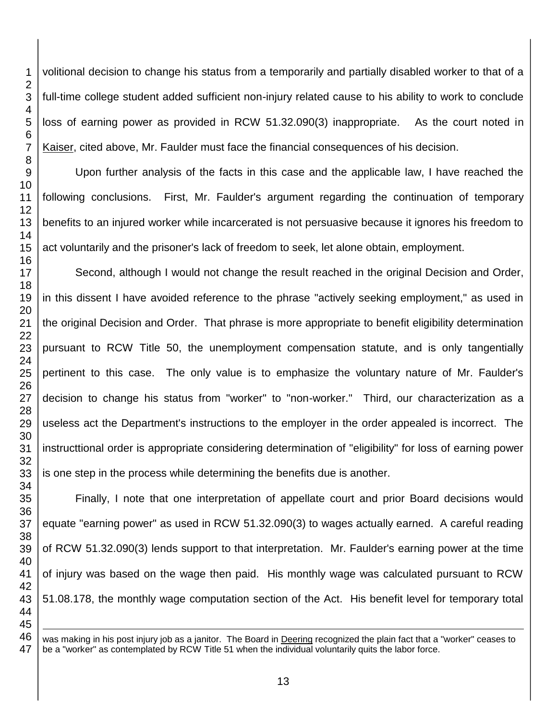volitional decision to change his status from a temporarily and partially disabled worker to that of a full-time college student added sufficient non-injury related cause to his ability to work to conclude loss of earning power as provided in RCW 51.32.090(3) inappropriate. As the court noted in Kaiser, cited above, Mr. Faulder must face the financial consequences of his decision. Upon further analysis of the facts in this case and the applicable law, I have reached the following conclusions. First, Mr. Faulder's argument regarding the continuation of temporary

benefits to an injured worker while incarcerated is not persuasive because it ignores his freedom to act voluntarily and the prisoner's lack of freedom to seek, let alone obtain, employment.

Second, although I would not change the result reached in the original Decision and Order, in this dissent I have avoided reference to the phrase "actively seeking employment," as used in the original Decision and Order. That phrase is more appropriate to benefit eligibility determination pursuant to RCW Title 50, the unemployment compensation statute, and is only tangentially pertinent to this case. The only value is to emphasize the voluntary nature of Mr. Faulder's decision to change his status from "worker" to "non-worker." Third, our characterization as a useless act the Department's instructions to the employer in the order appealed is incorrect. The instructtional order is appropriate considering determination of "eligibility" for loss of earning power is one step in the process while determining the benefits due is another.

Finally, I note that one interpretation of appellate court and prior Board decisions would equate "earning power" as used in RCW 51.32.090(3) to wages actually earned. A careful reading of RCW 51.32.090(3) lends support to that interpretation. Mr. Faulder's earning power at the time of injury was based on the wage then paid. His monthly wage was calculated pursuant to RCW 51.08.178, the monthly wage computation section of the Act. His benefit level for temporary total 

was making in his post injury job as a janitor. The Board in Deering recognized the plain fact that a "worker" ceases to be a "worker" as contemplated by RCW Title 51 when the individual voluntarily quits the labor force.